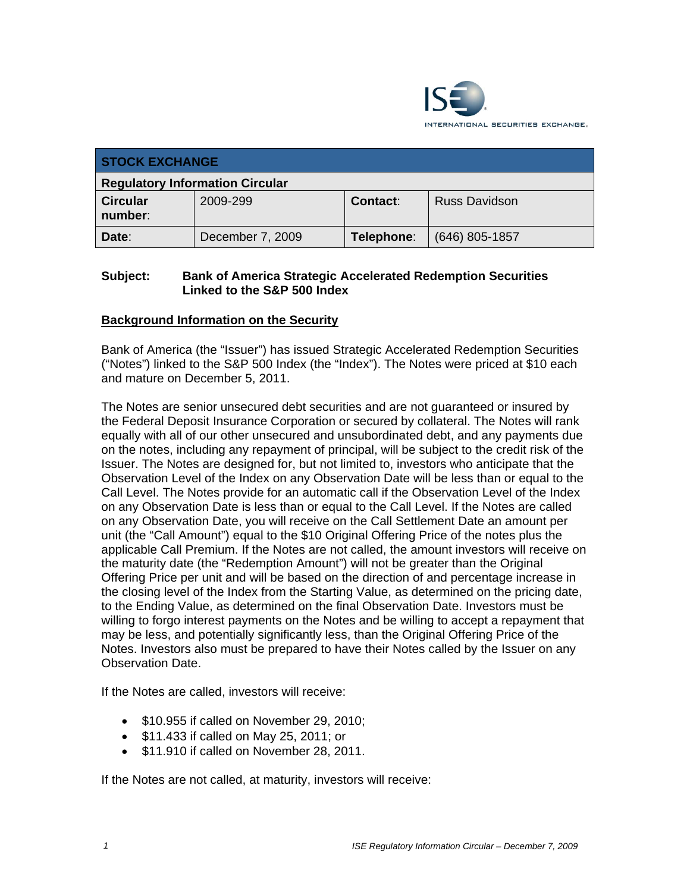

| <b>STOCK EXCHANGE</b>                  |                  |            |                      |  |  |
|----------------------------------------|------------------|------------|----------------------|--|--|
| <b>Regulatory Information Circular</b> |                  |            |                      |  |  |
| <b>Circular</b><br>number:             | 2009-299         | Contact:   | <b>Russ Davidson</b> |  |  |
| Date:                                  | December 7, 2009 | Telephone: | $(646)$ 805-1857     |  |  |

### **Subject: Bank of America Strategic Accelerated Redemption Securities Linked to the S&P 500 Index**

#### **Background Information on the Security**

Bank of America (the "Issuer") has issued Strategic Accelerated Redemption Securities ("Notes") linked to the S&P 500 Index (the "Index"). The Notes were priced at \$10 each and mature on December 5, 2011.

The Notes are senior unsecured debt securities and are not guaranteed or insured by the Federal Deposit Insurance Corporation or secured by collateral. The Notes will rank equally with all of our other unsecured and unsubordinated debt, and any payments due on the notes, including any repayment of principal, will be subject to the credit risk of the Issuer. The Notes are designed for, but not limited to, investors who anticipate that the Observation Level of the Index on any Observation Date will be less than or equal to the Call Level. The Notes provide for an automatic call if the Observation Level of the Index on any Observation Date is less than or equal to the Call Level. If the Notes are called on any Observation Date, you will receive on the Call Settlement Date an amount per unit (the "Call Amount") equal to the \$10 Original Offering Price of the notes plus the applicable Call Premium. If the Notes are not called, the amount investors will receive on the maturity date (the "Redemption Amount") will not be greater than the Original Offering Price per unit and will be based on the direction of and percentage increase in the closing level of the Index from the Starting Value, as determined on the pricing date, to the Ending Value, as determined on the final Observation Date. Investors must be willing to forgo interest payments on the Notes and be willing to accept a repayment that may be less, and potentially significantly less, than the Original Offering Price of the Notes. Investors also must be prepared to have their Notes called by the Issuer on any Observation Date.

If the Notes are called, investors will receive:

- $\bullet$  \$10.955 if called on November 29, 2010;
- \$11.433 if called on May 25, 2011; or
- \$11.910 if called on November 28, 2011.

If the Notes are not called, at maturity, investors will receive: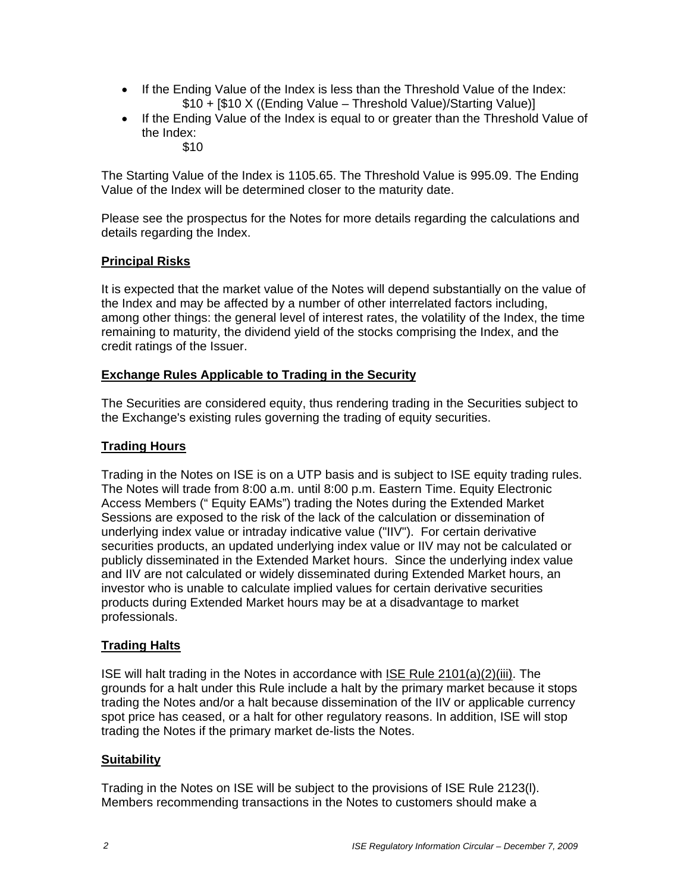- If the Ending Value of the Index is less than the Threshold Value of the Index: \$10 + [\$10 X ((Ending Value – Threshold Value)/Starting Value)]
- If the Ending Value of the Index is equal to or greater than the Threshold Value of the Index:
	- \$10

The Starting Value of the Index is 1105.65. The Threshold Value is 995.09. The Ending Value of the Index will be determined closer to the maturity date.

Please see the prospectus for the Notes for more details regarding the calculations and details regarding the Index.

## **Principal Risks**

It is expected that the market value of the Notes will depend substantially on the value of the Index and may be affected by a number of other interrelated factors including, among other things: the general level of interest rates, the volatility of the Index, the time remaining to maturity, the dividend yield of the stocks comprising the Index, and the credit ratings of the Issuer.

## **Exchange Rules Applicable to Trading in the Security**

The Securities are considered equity, thus rendering trading in the Securities subject to the Exchange's existing rules governing the trading of equity securities.

## **Trading Hours**

Trading in the Notes on ISE is on a UTP basis and is subject to ISE equity trading rules. The Notes will trade from 8:00 a.m. until 8:00 p.m. Eastern Time. Equity Electronic Access Members (" Equity EAMs") trading the Notes during the Extended Market Sessions are exposed to the risk of the lack of the calculation or dissemination of underlying index value or intraday indicative value ("IIV"). For certain derivative securities products, an updated underlying index value or IIV may not be calculated or publicly disseminated in the Extended Market hours. Since the underlying index value and IIV are not calculated or widely disseminated during Extended Market hours, an investor who is unable to calculate implied values for certain derivative securities products during Extended Market hours may be at a disadvantage to market professionals.

# **Trading Halts**

ISE will halt trading in the Notes in accordance with ISE Rule 2101(a)(2)(iii). The grounds for a halt under this Rule include a halt by the primary market because it stops trading the Notes and/or a halt because dissemination of the IIV or applicable currency spot price has ceased, or a halt for other regulatory reasons. In addition, ISE will stop trading the Notes if the primary market de-lists the Notes.

#### **Suitability**

Trading in the Notes on ISE will be subject to the provisions of ISE Rule 2123(l). Members recommending transactions in the Notes to customers should make a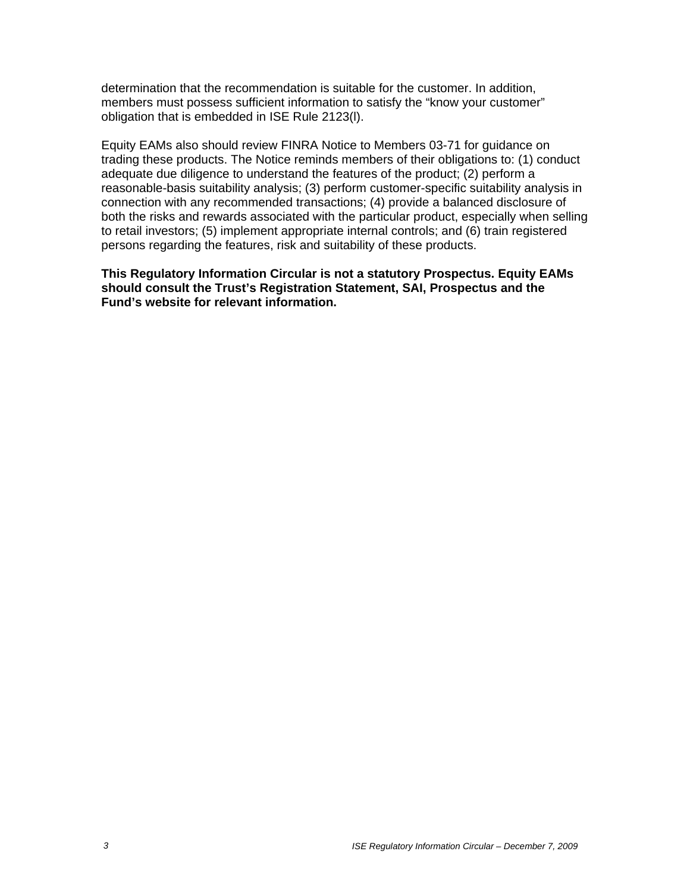determination that the recommendation is suitable for the customer. In addition, members must possess sufficient information to satisfy the "know your customer" obligation that is embedded in ISE Rule 2123(l).

Equity EAMs also should review FINRA Notice to Members 03-71 for guidance on trading these products. The Notice reminds members of their obligations to: (1) conduct adequate due diligence to understand the features of the product; (2) perform a reasonable-basis suitability analysis; (3) perform customer-specific suitability analysis in connection with any recommended transactions; (4) provide a balanced disclosure of both the risks and rewards associated with the particular product, especially when selling to retail investors; (5) implement appropriate internal controls; and (6) train registered persons regarding the features, risk and suitability of these products.

**This Regulatory Information Circular is not a statutory Prospectus. Equity EAMs should consult the Trust's Registration Statement, SAI, Prospectus and the Fund's website for relevant information.**